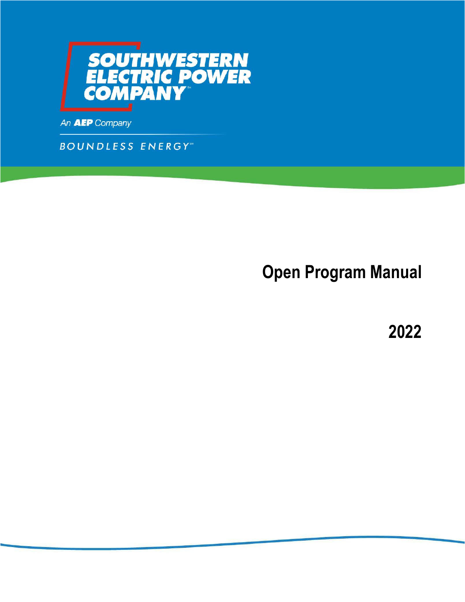

An **AEP** Company

**BOUNDLESS ENERGY** 

**Open Program Manual** 

**2022**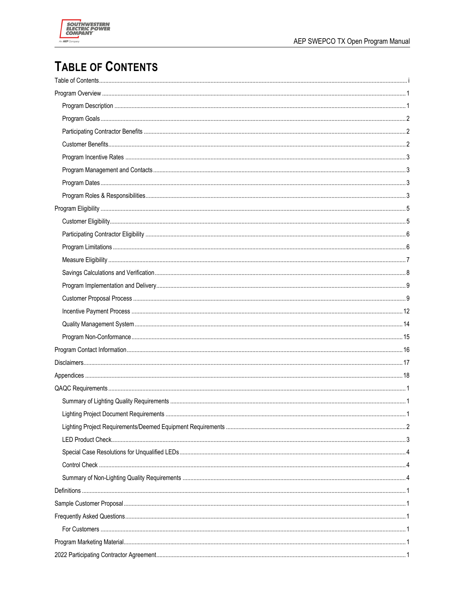

# **TABLE OF CONTENTS**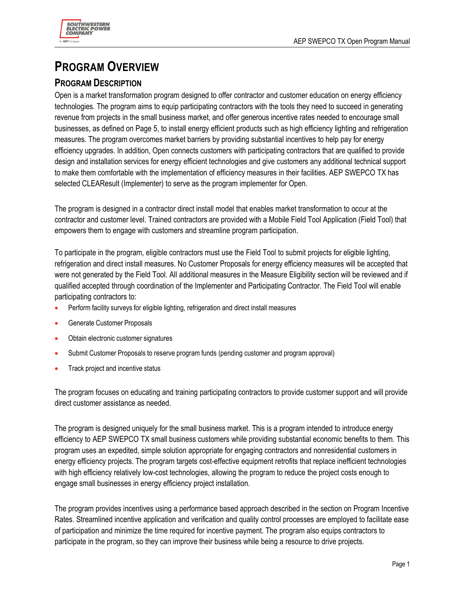

# **PROGRAM OVERVIEW**

# **PROGRAM DESCRIPTION**

Open is a market transformation program designed to offer contractor and customer education on energy efficiency technologies. The program aims to equip participating contractors with the tools they need to succeed in generating revenue from projects in the small business market, and offer generous incentive rates needed to encourage small businesses, as defined on Page 5, to install energy efficient products such as high efficiency lighting and refrigeration measures. The program overcomes market barriers by providing substantial incentives to help pay for energy efficiency upgrades. In addition, Open connects customers with participating contractors that are qualified to provide design and installation services for energy efficient technologies and give customers any additional technical support to make them comfortable with the implementation of efficiency measures in their facilities. AEP SWEPCO TX has selected CLEAResult (Implementer) to serve as the program implementer for Open.

The program is designed in a contractor direct install model that enables market transformation to occur at the contractor and customer level. Trained contractors are provided with a Mobile Field Tool Application (Field Tool) that empowers them to engage with customers and streamline program participation.

To participate in the program, eligible contractors must use the Field Tool to submit projects for eligible lighting, refrigeration and direct install measures. No Customer Proposals for energy efficiency measures will be accepted that were not generated by the Field Tool. All additional measures in the Measure Eligibility section will be reviewed and if qualified accepted through coordination of the Implementer and Participating Contractor. The Field Tool will enable participating contractors to:

- Perform facility surveys for eligible lighting, refrigeration and direct install measures
- Generate Customer Proposals
- Obtain electronic customer signatures
- Submit Customer Proposals to reserve program funds (pending customer and program approval)
- Track project and incentive status

The program focuses on educating and training participating contractors to provide customer support and will provide direct customer assistance as needed.

The program is designed uniquely for the small business market. This is a program intended to introduce energy efficiency to AEP SWEPCO TX small business customers while providing substantial economic benefits to them. This program uses an expedited, simple solution appropriate for engaging contractors and nonresidential customers in energy efficiency projects. The program targets cost-effective equipment retrofits that replace inefficient technologies with high efficiency relatively low-cost technologies, allowing the program to reduce the project costs enough to engage small businesses in energy efficiency project installation.

The program provides incentives using a performance based approach described in the section on Program Incentive Rates. Streamlined incentive application and verification and quality control processes are employed to facilitate ease of participation and minimize the time required for incentive payment. The program also equips contractors to participate in the program, so they can improve their business while being a resource to drive projects.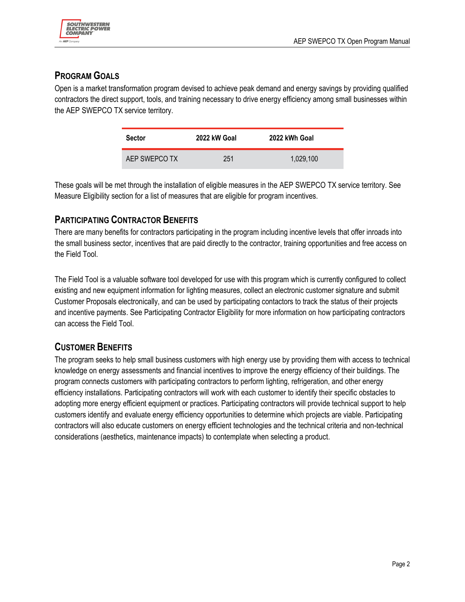# **PROGRAM GOALS**

Open is a market transformation program devised to achieve peak demand and energy savings by providing qualified contractors the direct support, tools, and training necessary to drive energy efficiency among small businesses within the AEP SWEPCO TX service territory.

| <b>Sector</b> | 2022 kW Goal | 2022 kWh Goal |
|---------------|--------------|---------------|
| AEP SWEPCO TX | 251          | 1,029,100     |

These goals will be met through the installation of eligible measures in the AEP SWEPCO TX service territory. See Measure Eligibility section for a list of measures that are eligible for program incentives.

# **PARTICIPATING CONTRACTOR BENEFITS**

There are many benefits for contractors participating in the program including incentive levels that offer inroads into the small business sector, incentives that are paid directly to the contractor, training opportunities and free access on the Field Tool.

The Field Tool is a valuable software tool developed for use with this program which is currently configured to collect existing and new equipment information for lighting measures, collect an electronic customer signature and submit Customer Proposals electronically, and can be used by participating contactors to track the status of their projects and incentive payments. See Participating Contractor Eligibility for more information on how participating contractors can access the Field Tool.

# **CUSTOMER BENEFITS**

The program seeks to help small business customers with high energy use by providing them with access to technical knowledge on energy assessments and financial incentives to improve the energy efficiency of their buildings. The program connects customers with participating contractors to perform lighting, refrigeration, and other energy efficiency installations. Participating contractors will work with each customer to identify their specific obstacles to adopting more energy efficient equipment or practices. Participating contractors will provide technical support to help customers identify and evaluate energy efficiency opportunities to determine which projects are viable. Participating contractors will also educate customers on energy efficient technologies and the technical criteria and non-technical considerations (aesthetics, maintenance impacts) to contemplate when selecting a product.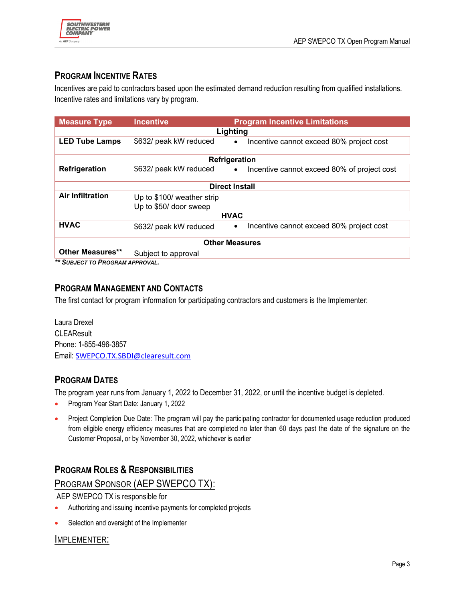

# **PROGRAM INCENTIVE RATES**

Incentives are paid to contractors based upon the estimated demand reduction resulting from qualified installations. Incentive rates and limitations vary by program.

| <b>Measure Type</b>                                                                                                                           | <b>Incentive</b>                                     | <b>Program Incentive Limitations</b>                     |
|-----------------------------------------------------------------------------------------------------------------------------------------------|------------------------------------------------------|----------------------------------------------------------|
| Lighting                                                                                                                                      |                                                      |                                                          |
| <b>LED Tube Lamps</b>                                                                                                                         | \$632/ peak kW reduced                               | Incentive cannot exceed 80% project cost<br>$\bullet$    |
| Refrigeration                                                                                                                                 |                                                      |                                                          |
| Refrigeration                                                                                                                                 | \$632/ peak kW reduced                               | Incentive cannot exceed 80% of project cost<br>$\bullet$ |
| <b>Direct Install</b>                                                                                                                         |                                                      |                                                          |
| <b>Air Infiltration</b>                                                                                                                       | Up to \$100/ weather strip<br>Up to \$50/ door sweep |                                                          |
|                                                                                                                                               |                                                      | <b>HVAC</b>                                              |
| <b>HVAC</b>                                                                                                                                   | \$632/ peak kW reduced                               | Incentive cannot exceed 80% project cost<br>$\bullet$    |
| <b>Other Measures</b>                                                                                                                         |                                                      |                                                          |
| <b>Other Measures**</b><br>$\mathbf{r}$ and $\mathbf{r}$ and $\mathbf{r}$ and $\mathbf{r}$ and $\mathbf{r}$ and $\mathbf{r}$ and $\mathbf{r}$ | Subject to approval                                  |                                                          |

*\*\* SUBJECT TO PROGRAM APPROVAL.*

### **PROGRAM MANAGEMENT AND CONTACTS**

The first contact for program information for participating contractors and customers is the Implementer:

Laura Drexel **CLEAResult** Phone: 1-855-496-3857 Email: SWEPCO.TX.SBDI@clearesult.com

# **PROGRAM DATES**

The program year runs from January 1, 2022 to December 31, 2022, or until the incentive budget is depleted.

- Program Year Start Date: January 1, 2022
- Project Completion Due Date: The program will pay the participating contractor for documented usage reduction produced from eligible energy efficiency measures that are completed no later than 60 days past the date of the signature on the Customer Proposal, or by November 30, 2022, whichever is earlier

# **PROGRAM ROLES & RESPONSIBILITIES**

### PROGRAM SPONSOR (AEP SWEPCO TX):

AEP SWEPCO TX is responsible for

- Authorizing and issuing incentive payments for completed projects
- Selection and oversight of the Implementer

#### IMPLEMENTER: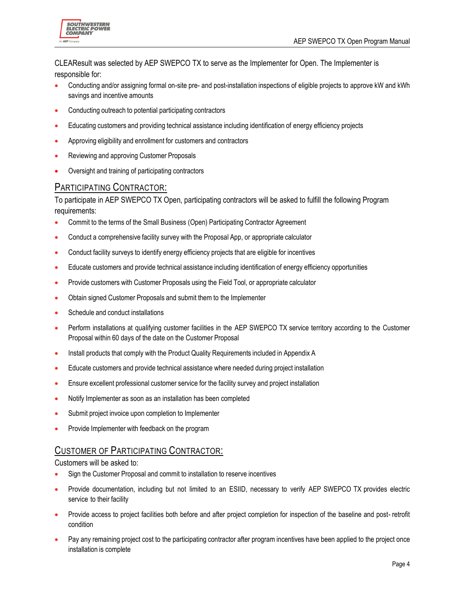

CLEAResult was selected by AEP SWEPCO TX to serve as the Implementer for Open. The Implementer is responsible for:

- Conducting and/or assigning formal on-site pre- and post-installation inspections of eligible projects to approve kW and kWh savings and incentive amounts
- Conducting outreach to potential participating contractors
- Educating customers and providing technical assistance including identification of energy efficiency projects
- Approving eligibility and enrollment for customers and contractors
- Reviewing and approving Customer Proposals
- Oversight and training of participating contractors

#### PARTICIPATING CONTRACTOR:

To participate in AEP SWEPCO TX Open, participating contractors will be asked to fulfill the following Program requirements:

- Commit to the terms of the Small Business (Open) Participating Contractor Agreement
- Conduct a comprehensive facility survey with the Proposal App, or appropriate calculator
- Conduct facility surveys to identify energy efficiency projects that are eligible for incentives
- Educate customers and provide technical assistance including identification of energy efficiency opportunities
- Provide customers with Customer Proposals using the Field Tool, or appropriate calculator
- Obtain signed Customer Proposals and submit them to the Implementer
- Schedule and conduct installations
- Perform installations at qualifying customer facilities in the AEP SWEPCO TX service territory according to the Customer Proposal within 60 days of the date on the Customer Proposal
- Install products that comply with the Product Quality Requirements included in Appendix A
- Educate customers and provide technical assistance where needed during project installation
- Ensure excellent professional customer service for the facility survey and project installation
- Notify Implementer as soon as an installation has been completed
- Submit project invoice upon completion to Implementer
- Provide Implementer with feedback on the program

#### CUSTOMER OF PARTICIPATING CONTRACTOR:

Customers will be asked to:

- Sign the Customer Proposal and commit to installation to reserve incentives
- Provide documentation, including but not limited to an ESIID, necessary to verify AEP SWEPCO TX provides electric service to their facility
- Provide access to project facilities both before and after project completion for inspection of the baseline and post- retrofit condition
- Pay any remaining project cost to the participating contractor after program incentives have been applied to the project once installation is complete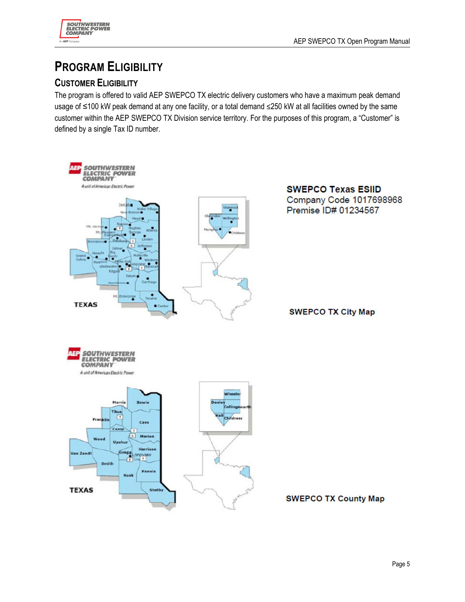

# **PROGRAM ELIGIBILITY**

# **CUSTOMER ELIGIBILITY**

The program is offered to valid AEP SWEPCO TX electric delivery customers who have a maximum peak demand usage of ≤100 kW peak demand at any one facility, or a total demand ≤250 kW at all facilities owned by the same customer within the AEP SWEPCO TX Division service territory. For the purposes of this program, a "Customer" is defined by a single Tax ID number.

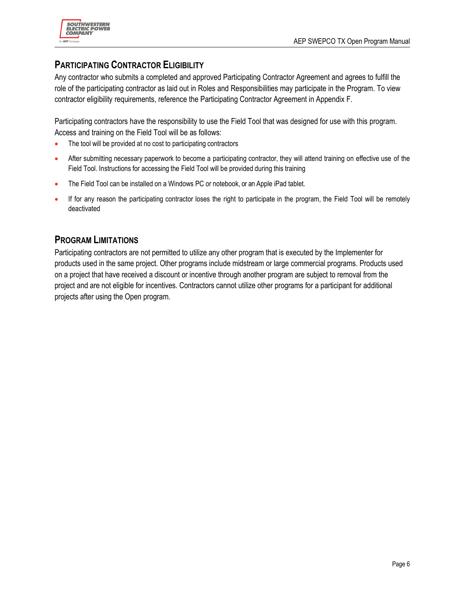

### **PARTICIPATING CONTRACTOR ELIGIBILITY**

Any contractor who submits a completed and approved Participating Contractor Agreement and agrees to fulfill the role of the participating contractor as laid out in Roles and Responsibilities may participate in the Program. To view contractor eligibility requirements, reference the Participating Contractor Agreement in Appendix F.

Participating contractors have the responsibility to use the Field Tool that was designed for use with this program. Access and training on the Field Tool will be as follows:

- The tool will be provided at no cost to participating contractors
- After submitting necessary paperwork to become a participating contractor, they will attend training on effective use of the Field Tool. Instructions for accessing the Field Tool will be provided during this training
- The Field Tool can be installed on a Windows PC or notebook, or an Apple iPad tablet.
- If for any reason the participating contractor loses the right to participate in the program, the Field Tool will be remotely deactivated

#### **PROGRAM LIMITATIONS**

Participating contractors are not permitted to utilize any other program that is executed by the Implementer for products used in the same project. Other programs include midstream or large commercial programs. Products used on a project that have received a discount or incentive through another program are subject to removal from the project and are not eligible for incentives. Contractors cannot utilize other programs for a participant for additional projects after using the Open program.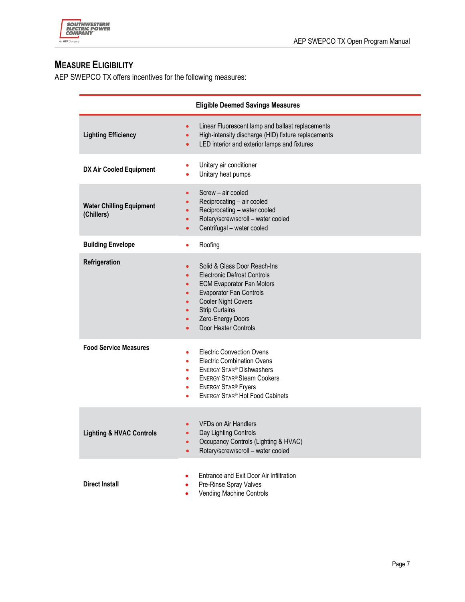

# **MEASURE ELIGIBILITY**

AEP SWEPCO TX offers incentives for the following measures:

| <b>Eligible Deemed Savings Measures</b>       |                                                                                                                                                                                                                                                                                     |
|-----------------------------------------------|-------------------------------------------------------------------------------------------------------------------------------------------------------------------------------------------------------------------------------------------------------------------------------------|
| <b>Lighting Efficiency</b>                    | Linear Fluorescent lamp and ballast replacements<br>٠<br>High-intensity discharge (HID) fixture replacements<br>$\bullet$<br>LED interior and exterior lamps and fixtures<br>$\bullet$                                                                                              |
| DX Air Cooled Equipment                       | Unitary air conditioner<br>٠<br>Unitary heat pumps                                                                                                                                                                                                                                  |
| <b>Water Chilling Equipment</b><br>(Chillers) | Screw - air cooled<br>$\bullet$<br>Reciprocating - air cooled<br>Reciprocating - water cooled<br>Rotary/screw/scroll - water cooled<br>$\bullet$<br>Centrifugal - water cooled                                                                                                      |
| <b>Building Envelope</b>                      | Roofing<br>$\bullet$                                                                                                                                                                                                                                                                |
| Refrigeration                                 | Solid & Glass Door Reach-Ins<br>$\bullet$<br><b>Electronic Defrost Controls</b><br><b>ECM Evaporator Fan Motors</b><br>$\bullet$<br><b>Evaporator Fan Controls</b><br>$\bullet$<br><b>Cooler Night Covers</b><br><b>Strip Curtains</b><br>Zero-Energy Doors<br>Door Heater Controls |
| <b>Food Service Measures</b>                  | <b>Electric Convection Ovens</b><br>$\bullet$<br><b>Electric Combination Ovens</b><br>٠<br><b>ENERGY STAR® Dishwashers</b><br>٠<br><b>ENERGY STAR® Steam Cookers</b><br>٠<br><b>ENERGY STAR® Fryers</b><br>٠<br><b>ENERGY STAR® Hot Food Cabinets</b>                               |
| <b>Lighting &amp; HVAC Controls</b>           | <b>VFDs on Air Handlers</b><br>Day Lighting Controls<br>$\bullet$<br>Occupancy Controls (Lighting & HVAC)<br>Rotary/screw/scroll - water cooled                                                                                                                                     |
| <b>Direct Install</b>                         | Entrance and Exit Door Air Infiltration<br>Pre-Rinse Spray Valves<br>Vending Machine Controls                                                                                                                                                                                       |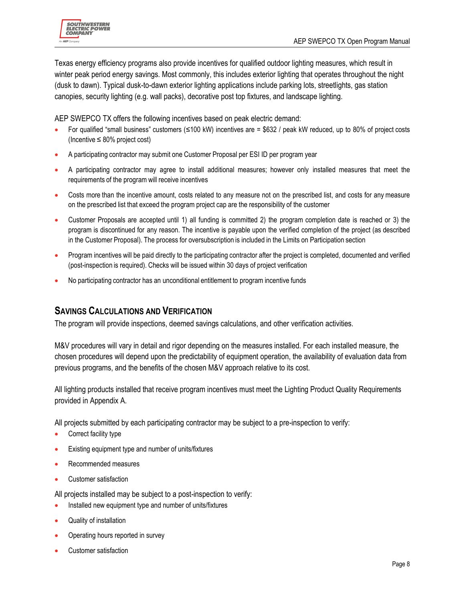Texas energy efficiency programs also provide incentives for qualified outdoor lighting measures, which result in winter peak period energy savings. Most commonly, this includes exterior lighting that operates throughout the night (dusk to dawn). Typical dusk-to-dawn exterior lighting applications include parking lots, streetlights, gas station canopies, security lighting (e.g. wall packs), decorative post top fixtures, and landscape lighting.

AEP SWEPCO TX offers the following incentives based on peak electric demand:

- For qualified "small business" customers (≤100 kW) incentives are = \$632 / peak kW reduced, up to 80% of project costs (Incentive ≤ 80% project cost)
- A participating contractor may submit one Customer Proposal per ESI ID per program year
- A participating contractor may agree to install additional measures; however only installed measures that meet the requirements of the program will receive incentives
- Costs more than the incentive amount, costs related to any measure not on the prescribed list, and costs for any measure on the prescribed list that exceed the program project cap are the responsibility of the customer
- Customer Proposals are accepted until 1) all funding is committed 2) the program completion date is reached or 3) the program is discontinued for any reason. The incentive is payable upon the verified completion of the project (as described in the Customer Proposal). The process for oversubscription is included in the Limits on Participation section
- Program incentives will be paid directly to the participating contractor after the project is completed, documented and verified (post-inspection is required). Checks will be issued within 30 days of project verification
- No participating contractor has an unconditional entitlement to program incentive funds

# **SAVINGS CALCULATIONS AND VERIFICATION**

The program will provide inspections, deemed savings calculations, and other verification activities.

M&V procedures will vary in detail and rigor depending on the measures installed. For each installed measure, the chosen procedures will depend upon the predictability of equipment operation, the availability of evaluation data from previous programs, and the benefits of the chosen M&V approach relative to its cost.

All lighting products installed that receive program incentives must meet the Lighting Product Quality Requirements provided in Appendix A.

All projects submitted by each participating contractor may be subject to a pre-inspection to verify:

- Correct facility type
- Existing equipment type and number of units/fixtures
- Recommended measures
- Customer satisfaction

All projects installed may be subject to a post-inspection to verify:

- Installed new equipment type and number of units/fixtures
- Quality of installation
- Operating hours reported in survey
- Customer satisfaction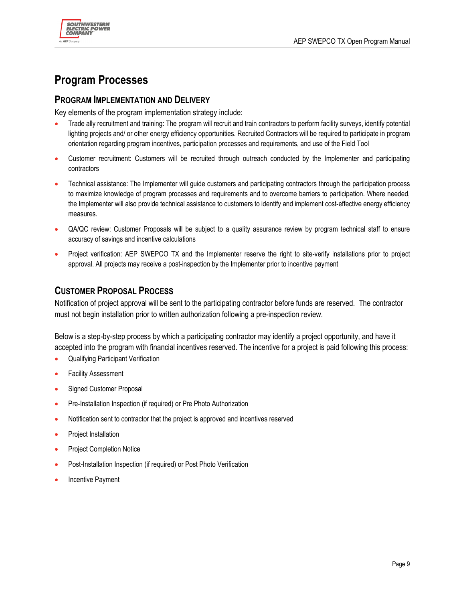

# **Program Processes**

#### **PROGRAM IMPLEMENTATION AND DELIVERY**

Key elements of the program implementation strategy include:

- Trade ally recruitment and training: The program will recruit and train contractors to perform facility surveys, identify potential lighting projects and/ or other energy efficiency opportunities. Recruited Contractors will be required to participate in program orientation regarding program incentives, participation processes and requirements, and use of the Field Tool
- Customer recruitment: Customers will be recruited through outreach conducted by the Implementer and participating contractors
- Technical assistance: The Implementer will guide customers and participating contractors through the participation process to maximize knowledge of program processes and requirements and to overcome barriers to participation. Where needed, the Implementer will also provide technical assistance to customers to identify and implement cost-effective energy efficiency measures.
- QA/QC review: Customer Proposals will be subject to a quality assurance review by program technical staff to ensure accuracy of savings and incentive calculations
- Project verification: AEP SWEPCO TX and the Implementer reserve the right to site-verify installations prior to project approval. All projects may receive a post-inspection by the Implementer prior to incentive payment

### **CUSTOMER PROPOSAL PROCESS**

Notification of project approval will be sent to the participating contractor before funds are reserved. The contractor must not begin installation prior to written authorization following a pre-inspection review.

Below is a step-by-step process by which a participating contractor may identify a project opportunity, and have it accepted into the program with financial incentives reserved. The incentive for a project is paid following this process:

- Qualifying Participant Verification
- Facility Assessment
- Signed Customer Proposal
- Pre-Installation Inspection (if required) or Pre Photo Authorization
- Notification sent to contractor that the project is approved and incentives reserved
- Project Installation
- Project Completion Notice
- Post-Installation Inspection (if required) or Post Photo Verification
- Incentive Payment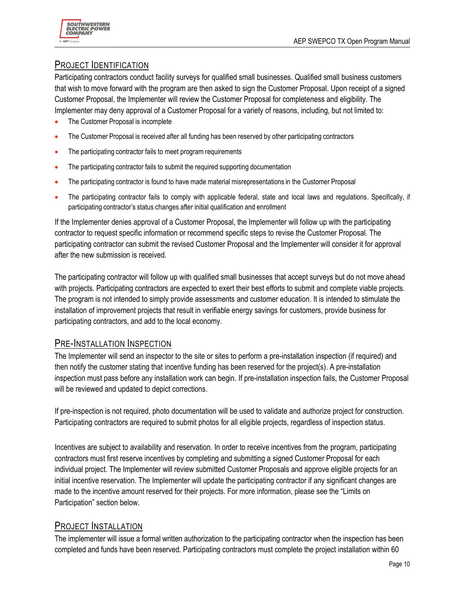

### PROJECT IDENTIFICATION

Participating contractors conduct facility surveys for qualified small businesses. Qualified small business customers that wish to move forward with the program are then asked to sign the Customer Proposal. Upon receipt of a signed Customer Proposal, the Implementer will review the Customer Proposal for completeness and eligibility. The Implementer may deny approval of a Customer Proposal for a variety of reasons, including, but not limited to:

- The Customer Proposal is incomplete
- The Customer Proposal is received after all funding has been reserved by other participating contractors
- The participating contractor fails to meet program requirements
- The participating contractor fails to submit the required supporting documentation
- The participating contractor is found to have made material misrepresentations in the Customer Proposal
- The participating contractor fails to comply with applicable federal, state and local laws and regulations. Specifically, if participating contractor's status changes after initial qualification and enrollment

If the Implementer denies approval of a Customer Proposal, the Implementer will follow up with the participating contractor to request specific information or recommend specific steps to revise the Customer Proposal. The participating contractor can submit the revised Customer Proposal and the Implementer will consider it for approval after the new submission is received.

The participating contractor will follow up with qualified small businesses that accept surveys but do not move ahead with projects. Participating contractors are expected to exert their best efforts to submit and complete viable projects. The program is not intended to simply provide assessments and customer education. It is intended to stimulate the installation of improvement projects that result in verifiable energy savings for customers, provide business for participating contractors, and add to the local economy.

#### PRE-INSTALLATION INSPECTION

The Implementer will send an inspector to the site or sites to perform a pre-installation inspection (if required) and then notify the customer stating that incentive funding has been reserved for the project(s). A pre-installation inspection must pass before any installation work can begin. If pre-installation inspection fails, the Customer Proposal will be reviewed and updated to depict corrections.

If pre-inspection is not required, photo documentation will be used to validate and authorize project for construction. Participating contractors are required to submit photos for all eligible projects, regardless of inspection status.

Incentives are subject to availability and reservation. In order to receive incentives from the program, participating contractors must first reserve incentives by completing and submitting a signed Customer Proposal for each individual project. The Implementer will review submitted Customer Proposals and approve eligible projects for an initial incentive reservation. The Implementer will update the participating contractor if any significant changes are made to the incentive amount reserved for their projects. For more information, please see the "Limits on Participation" section below.

### PROJECT INSTALLATION

The implementer will issue a formal written authorization to the participating contractor when the inspection has been completed and funds have been reserved. Participating contractors must complete the project installation within 60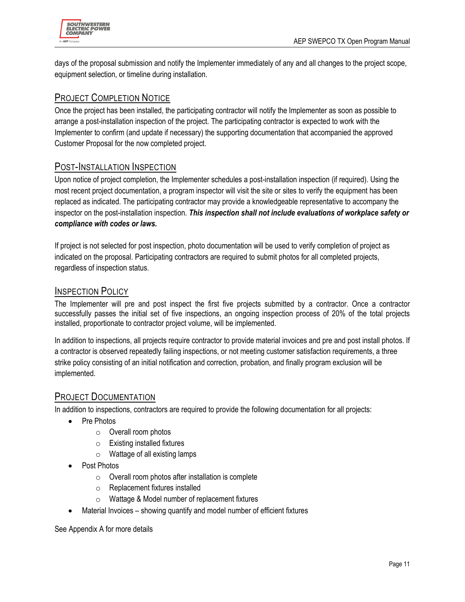

days of the proposal submission and notify the Implementer immediately of any and all changes to the project scope, equipment selection, or timeline during installation.

#### PROJECT COMPLETION NOTICE

Once the project has been installed, the participating contractor will notify the Implementer as soon as possible to arrange a post-installation inspection of the project. The participating contractor is expected to work with the Implementer to confirm (and update if necessary) the supporting documentation that accompanied the approved Customer Proposal for the now completed project.

#### POST-INSTALLATION INSPECTION

Upon notice of project completion, the Implementer schedules a post-installation inspection (if required). Using the most recent project documentation, a program inspector will visit the site or sites to verify the equipment has been replaced as indicated. The participating contractor may provide a knowledgeable representative to accompany the inspector on the post-installation inspection. *This inspection shall not include evaluations of workplace safety or compliance with codes or laws.*

If project is not selected for post inspection, photo documentation will be used to verify completion of project as indicated on the proposal. Participating contractors are required to submit photos for all completed projects, regardless of inspection status.

#### INSPECTION POLICY

The Implementer will pre and post inspect the first five projects submitted by a contractor. Once a contractor successfully passes the initial set of five inspections, an ongoing inspection process of 20% of the total projects installed, proportionate to contractor project volume, will be implemented.

In addition to inspections, all projects require contractor to provide material invoices and pre and post install photos. If a contractor is observed repeatedly failing inspections, or not meeting customer satisfaction requirements, a three strike policy consisting of an initial notification and correction, probation, and finally program exclusion will be implemented.

### PROJECT DOCUMENTATION

In addition to inspections, contractors are required to provide the following documentation for all projects:

- Pre Photos
	- o Overall room photos
	- o Existing installed fixtures
	- o Wattage of all existing lamps
- Post Photos
	- $\circ$  Overall room photos after installation is complete
	- o Replacement fixtures installed
	- o Wattage & Model number of replacement fixtures
- Material Invoices showing quantify and model number of efficient fixtures

See Appendix A for more details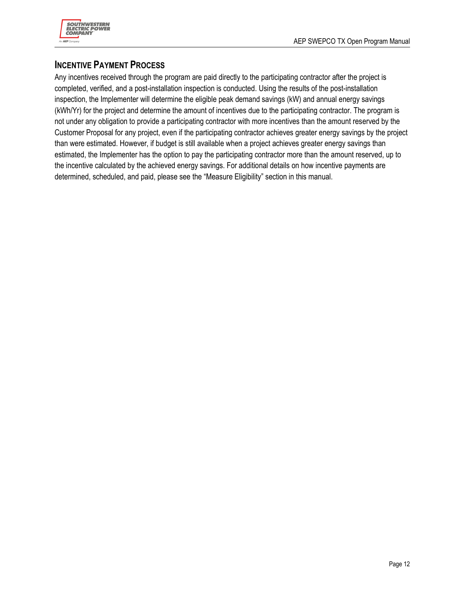

### **INCENTIVE PAYMENT PROCESS**

Any incentives received through the program are paid directly to the participating contractor after the project is completed, verified, and a post-installation inspection is conducted. Using the results of the post-installation inspection, the Implementer will determine the eligible peak demand savings (kW) and annual energy savings (kWh/Yr) for the project and determine the amount of incentives due to the participating contractor. The program is not under any obligation to provide a participating contractor with more incentives than the amount reserved by the Customer Proposal for any project, even if the participating contractor achieves greater energy savings by the project than were estimated. However, if budget is still available when a project achieves greater energy savings than estimated, the Implementer has the option to pay the participating contractor more than the amount reserved, up to the incentive calculated by the achieved energy savings. For additional details on how incentive payments are determined, scheduled, and paid, please see the "Measure Eligibility" section in this manual.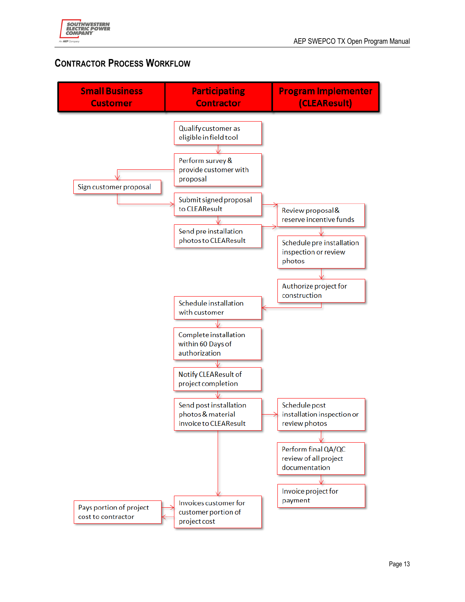

# **CONTRACTOR PROCESS WORKFLOW**

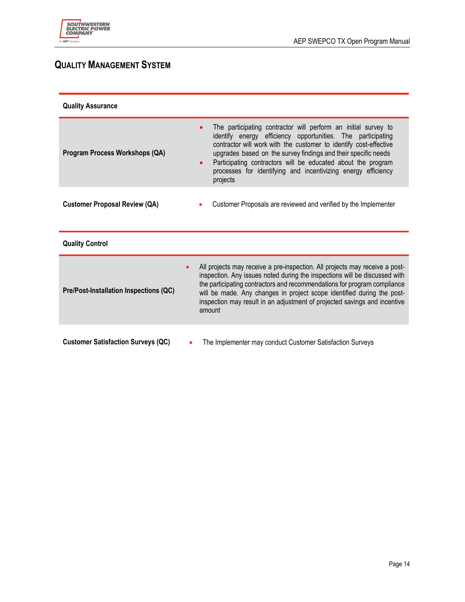

# **QUALITY MANAGEMENT SYSTEM**

| <b>Quality Assurance</b>                  |                                                                                                                                                                                                                                                                                                                                                                                                                                             |  |
|-------------------------------------------|---------------------------------------------------------------------------------------------------------------------------------------------------------------------------------------------------------------------------------------------------------------------------------------------------------------------------------------------------------------------------------------------------------------------------------------------|--|
| Program Process Workshops (QA)            | The participating contractor will perform an initial survey to<br>$\bullet$<br>identify energy efficiency opportunities. The participating<br>contractor will work with the customer to identify cost-effective<br>upgrades based on the survey findings and their specific needs<br>Participating contractors will be educated about the program<br>$\bullet$<br>processes for identifying and incentivizing energy efficiency<br>projects |  |
| <b>Customer Proposal Review (QA)</b>      | Customer Proposals are reviewed and verified by the Implementer                                                                                                                                                                                                                                                                                                                                                                             |  |
| <b>Quality Control</b>                    |                                                                                                                                                                                                                                                                                                                                                                                                                                             |  |
| Pre/Post-Installation Inspections (QC)    | All projects may receive a pre-inspection. All projects may receive a post-<br>$\bullet$<br>inspection. Any issues noted during the inspections will be discussed with<br>the participating contractors and recommendations for program compliance<br>will be made. Any changes in project scope identified during the post-<br>inspection may result in an adjustment of projected savings and incentive<br>amount                         |  |
| <b>Customer Satisfaction Surveys (QC)</b> | The Implementer may conduct Customer Satisfaction Surveys                                                                                                                                                                                                                                                                                                                                                                                   |  |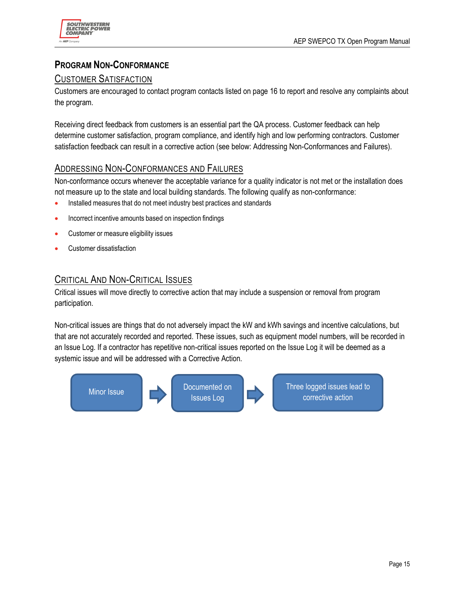

# **PROGRAM NON-CONFORMANCE**

### CUSTOMER SATISFACTION

Customers are encouraged to contact program contacts listed on page 16 to report and resolve any complaints about the program.

Receiving direct feedback from customers is an essential part the QA process. Customer feedback can help determine customer satisfaction, program compliance, and identify high and low performing contractors. Customer satisfaction feedback can result in a corrective action (see below: Addressing Non-Conformances and Failures).

#### ADDRESSING NON-CONFORMANCES AND FAILURES

Non-conformance occurs whenever the acceptable variance for a quality indicator is not met or the installation does not measure up to the state and local building standards. The following qualify as non-conformance:

- Installed measures that do not meet industry best practices and standards
- Incorrect incentive amounts based on inspection findings
- Customer or measure eligibility issues
- Customer dissatisfaction

### CRITICAL AND NON-CRITICAL ISSUES

Critical issues will move directly to corrective action that may include a suspension or removal from program participation.

Non-critical issues are things that do not adversely impact the kW and kWh savings and incentive calculations, but that are not accurately recorded and reported. These issues, such as equipment model numbers, will be recorded in an Issue Log. If a contractor has repetitive non-critical issues reported on the Issue Log it will be deemed as a systemic issue and will be addressed with a Corrective Action.

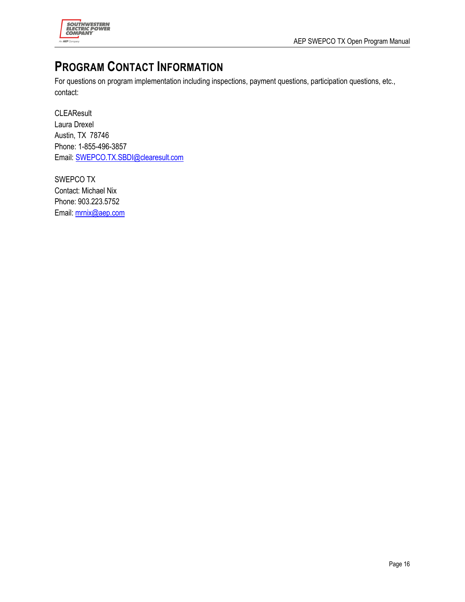

# **PROGRAM CONTACT INFORMATION**

For questions on program implementation including inspections, payment questions, participation questions, etc., contact:

**CLEAResult** Laura Drexel Austin, TX 78746 Phone: 1-855-496-3857 Email: SWEPCO.TX.SBDI@clearesult.com

SWEPCO TX Contact: Michael Nix Phone: 903.223.5752 Email: mrnix@aep.com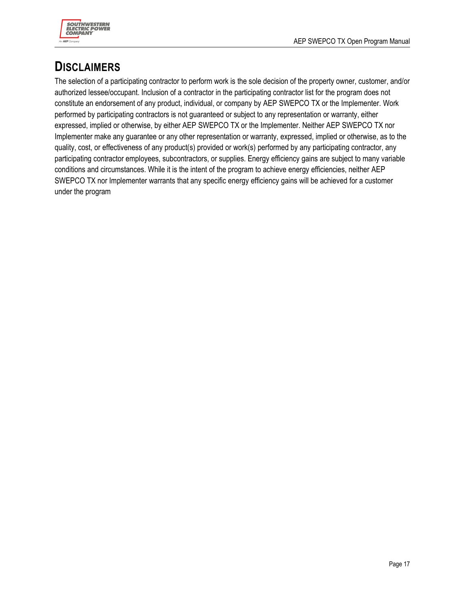

# **DISCLAIMERS**

The selection of a participating contractor to perform work is the sole decision of the property owner, customer, and/or authorized lessee/occupant. Inclusion of a contractor in the participating contractor list for the program does not constitute an endorsement of any product, individual, or company by AEP SWEPCO TX or the Implementer. Work performed by participating contractors is not guaranteed or subject to any representation or warranty, either expressed, implied or otherwise, by either AEP SWEPCO TX or the Implementer. Neither AEP SWEPCO TX nor Implementer make any guarantee or any other representation or warranty, expressed, implied or otherwise, as to the quality, cost, or effectiveness of any product(s) provided or work(s) performed by any participating contractor, any participating contractor employees, subcontractors, or supplies. Energy efficiency gains are subject to many variable conditions and circumstances. While it is the intent of the program to achieve energy efficiencies, neither AEP SWEPCO TX nor Implementer warrants that any specific energy efficiency gains will be achieved for a customer under the program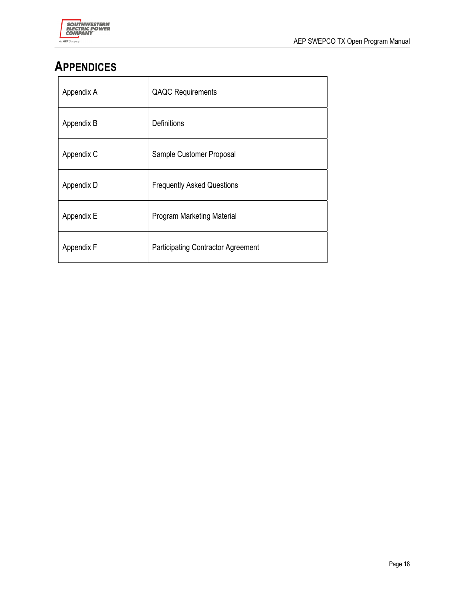

# **APPENDICES**

| Appendix A | <b>QAQC</b> Requirements                  |
|------------|-------------------------------------------|
| Appendix B | Definitions                               |
| Appendix C | Sample Customer Proposal                  |
| Appendix D | <b>Frequently Asked Questions</b>         |
| Appendix E | <b>Program Marketing Material</b>         |
| Appendix F | <b>Participating Contractor Agreement</b> |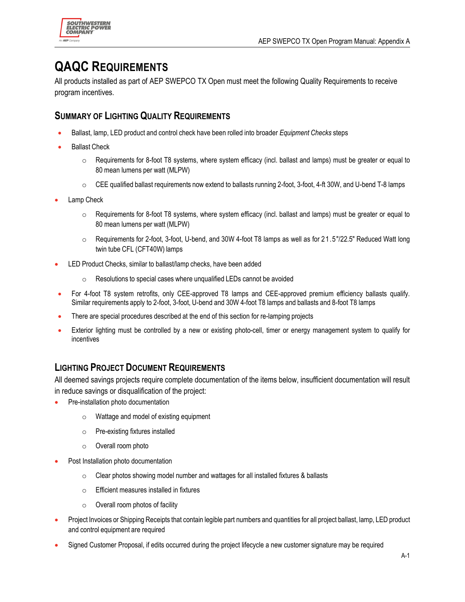

# **QAQC REQUIREMENTS**

All products installed as part of AEP SWEPCO TX Open must meet the following Quality Requirements to receive program incentives.

### **SUMMARY OF LIGHTING QUALITY REQUIREMENTS**

- Ballast, lamp, LED product and control check have been rolled into broader *Equipment Checks* steps
- Ballast Check
	- $\circ$  Requirements for 8-foot T8 systems, where system efficacy (incl. ballast and lamps) must be greater or equal to 80 mean lumens per watt (MLPW)
	- $\circ$  CEE qualified ballast requirements now extend to ballasts running 2-foot, 3-foot, 4-ft 30W, and U-bend T-8 lamps
- Lamp Check
	- $\circ$  Requirements for 8-foot T8 systems, where system efficacy (incl. ballast and lamps) must be greater or equal to 80 mean lumens per watt (MLPW)
	- $\circ$  Requirements for 2-foot, 3-foot, U-bend, and 30W 4-foot T8 lamps as well as for 21.5"/22.5" Reduced Watt long twin tube CFL (CFT40W) lamps
- LED Product Checks, similar to ballast/lamp checks, have been added
	- o Resolutions to special cases where unqualified LEDs cannot be avoided
- For 4-foot T8 system retrofits, only CEE-approved T8 lamps and CEE-approved premium efficiency ballasts qualify. Similar requirements apply to 2-foot, 3-foot, U-bend and 30W 4-foot T8 lamps and ballasts and 8-foot T8 lamps
- There are special procedures described at the end of this section for re-lamping projects
- Exterior lighting must be controlled by a new or existing photo-cell, timer or energy management system to qualify for incentives

### **LIGHTING PROJECT DOCUMENT REQUIREMENTS**

All deemed savings projects require complete documentation of the items below, insufficient documentation will result in reduce savings or disqualification of the project:

- Pre-installation photo documentation
	- o Wattage and model of existing equipment
	- o Pre-existing fixtures installed
	- o Overall room photo
- Post Installation photo documentation
	- o Clear photos showing model number and wattages for all installed fixtures & ballasts
	- o Efficient measures installed in fixtures
	- $\circ$  Overall room photos of facility
- Project Invoices or Shipping Receipts that contain legible part numbers and quantities for all project ballast, lamp, LED product and control equipment are required
- Signed Customer Proposal, if edits occurred during the project lifecycle a new customer signature may be required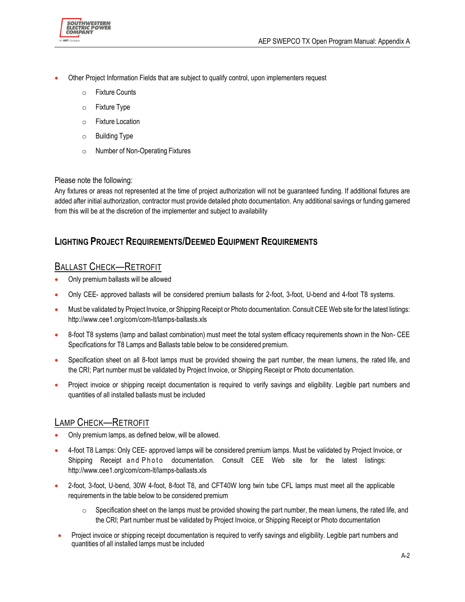

- Other Project Information Fields that are subject to qualify control, upon implementers request
	- o Fixture Counts
	- o Fixture Type
	- o Fixture Location
	- o Building Type
	- o Number of Non-Operating Fixtures

#### Please note the following:

Any fixtures or areas not represented at the time of project authorization will not be guaranteed funding. If additional fixtures are added after initial authorization, contractor must provide detailed photo documentation. Any additional savings or funding garnered from this will be at the discretion of the implementer and subject to availability

### **LIGHTING PROJECT REQUIREMENTS/DEEMED EQUIPMENT REQUIREMENTS**

# BALLAST CHECK—RETROFIT

- Only premium ballasts will be allowed
- Only CEE- approved ballasts will be considered premium ballasts for 2-foot, 3-foot, U-bend and 4-foot T8 systems.
- Must be validated by Project Invoice, or Shipping Receipt or Photo documentation. Consult CEE Web site for the latest listings: http://www.cee1.org/com/com-lt/lamps-ballasts.xls
- 8-foot T8 systems (lamp and ballast combination) must meet the total system efficacy requirements shown in the Non- CEE Specifications for T8 Lamps and Ballasts table below to be considered premium.
- Specification sheet on all 8-foot lamps must be provided showing the part number, the mean lumens, the rated life, and the CRI; Part number must be validated by Project Invoice, or Shipping Receipt or Photo documentation.
- Project invoice or shipping receipt documentation is required to verify savings and eligibility. Legible part numbers and quantities of all installed ballasts must be included

### LAMP CHECK—RETROFIT

- Only premium lamps, as defined below, will be allowed.
- 4-foot T8 Lamps: Only CEE- approved lamps will be considered premium lamps. Must be validated by Project Invoice, or Shipping Receipt and Photo documentation. Consult CEE Web site for the latest listings: http://www.cee1.org/com/com-lt/lamps-ballasts.xls
- 2-foot, 3-foot, U-bend, 30W 4-foot, 8-foot T8, and CFT40W long twin tube CFL lamps must meet all the applicable requirements in the table below to be considered premium
	- $\circ$  Specification sheet on the lamps must be provided showing the part number, the mean lumens, the rated life, and the CRI; Part number must be validated by Project Invoice, or Shipping Receipt or Photo documentation
- Project invoice or shipping receipt documentation is required to verify savings and eligibility. Legible part numbers and quantities of all installed lamps must be included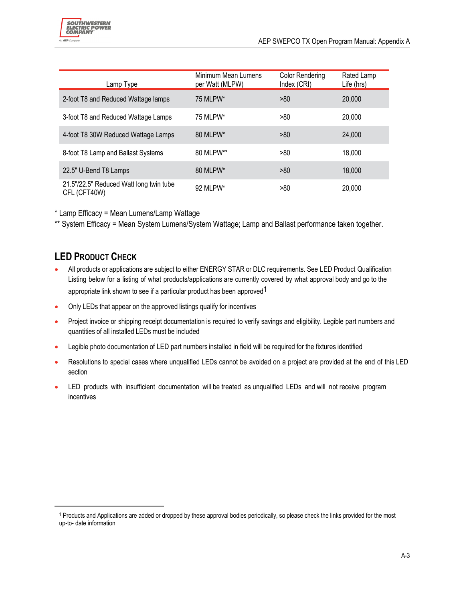| Lamp Type                                               | Minimum Mean Lumens<br>per Watt (MLPW) | Color Rendering<br>Index (CRI) | Rated Lamp<br>Life (hrs) |
|---------------------------------------------------------|----------------------------------------|--------------------------------|--------------------------|
| 2-foot T8 and Reduced Wattage lamps                     | 75 MLPW*                               | >80                            | 20,000                   |
| 3-foot T8 and Reduced Wattage Lamps                     | 75 MLPW*                               | >80                            | 20,000                   |
| 4-foot T8 30W Reduced Wattage Lamps                     | 80 MLPW*                               | >80                            | 24,000                   |
| 8-foot T8 Lamp and Ballast Systems                      | 80 MLPW**                              | >80                            | 18,000                   |
| 22.5" U-Bend T8 Lamps                                   | 80 MLPW*                               | >80                            | 18,000                   |
| 21.5"/22.5" Reduced Watt long twin tube<br>CFL (CFT40W) | 92 MLPW*                               | >80                            | 20,000                   |

\* Lamp Efficacy = Mean Lumens/Lamp Wattage

\*\* System Efficacy = Mean System Lumens/System Wattage; Lamp and Ballast performance taken together.

# **LED PRODUCT CHECK**

- All products or applications are subject to either ENERGY STAR or DLC requirements. See LED Product Qualification Listing below for a listing of what products/applications are currently covered by what approval body and go to the appropriate link shown to see if a particular product has been approved<sup>1</sup>
- Only LEDs that appear on the approved listings qualify for incentives
- **•** Project invoice or shipping receipt documentation is required to verify savings and eligibility. Legible part numbers and quantities of all installed LEDs must be included
- Legible photo documentation of LED part numbers installed in field will be required for the fixtures identified
- Resolutions to special cases where unqualified LEDs cannot be avoided on a project are provided at the end of this LED section
- LED products with insufficient documentation will be treated as unqualified LEDs and will not receive program incentives

<sup>1</sup> Products and Applications are added or dropped by these approval bodies periodically, so please check the links provided for the most up-to- date information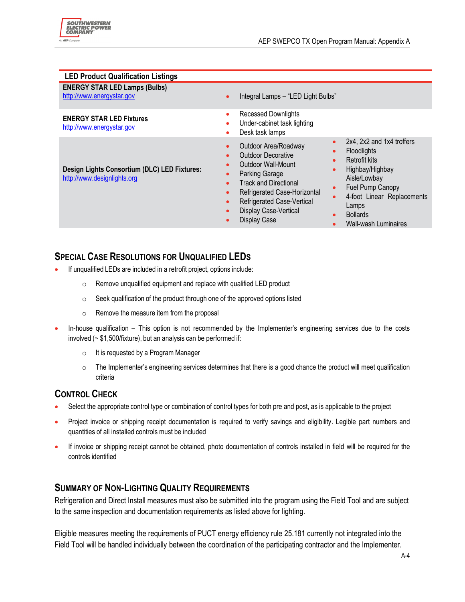| <b>LED Product Qualification Listings</b>                                   |                                                                                                                                                                                                                                                                                                                                                                                                                                                                                                                                                                    |  |
|-----------------------------------------------------------------------------|--------------------------------------------------------------------------------------------------------------------------------------------------------------------------------------------------------------------------------------------------------------------------------------------------------------------------------------------------------------------------------------------------------------------------------------------------------------------------------------------------------------------------------------------------------------------|--|
| <b>ENERGY STAR LED Lamps (Bulbs)</b><br>http://www.energystar.gov           | Integral Lamps - "LED Light Bulbs"<br>$\bullet$                                                                                                                                                                                                                                                                                                                                                                                                                                                                                                                    |  |
| <b>ENERGY STAR LED Fixtures</b><br>http://www.energystar.gov                | <b>Recessed Downlights</b><br>$\bullet$<br>Under-cabinet task lighting<br>$\bullet$<br>Desk task lamps<br>$\bullet$                                                                                                                                                                                                                                                                                                                                                                                                                                                |  |
| Design Lights Consortium (DLC) LED Fixtures:<br>http://www.designlights.org | 2x4, 2x2 and 1x4 troffers<br>$\bullet$<br>Outdoor Area/Roadway<br>$\bullet$<br>Floodlights<br><b>Outdoor Decorative</b><br>é<br><b>Retrofit kits</b><br>$\bullet$<br>Outdoor Wall-Mount<br>Highbay/Highbay<br>$\bullet$<br><b>Parking Garage</b><br>Aisle/Lowbay<br><b>Track and Directional</b><br>$\bullet$<br>Fuel Pump Canopy<br>Refrigerated Case-Horizontal<br>$\bullet$<br>4-foot Linear Replacements<br><b>Refrigerated Case-Vertical</b><br>$\bullet$<br>Lamps<br>Display Case-Vertical<br><b>Bollards</b><br>Display Case<br><b>Wall-wash Luminaires</b> |  |

# **SPECIAL CASE RESOLUTIONS FOR UNQUALIFIED LEDS**

- If unqualified LEDs are included in a retrofit project, options include:
	- o Remove unqualified equipment and replace with qualified LED product
	- o Seek qualification of the product through one of the approved options listed
	- o Remove the measure item from the proposal
- In-house qualification This option is not recommended by the Implementer's engineering services due to the costs involved (~ \$1,500/fixture), but an analysis can be performed if:
	- o It is requested by a Program Manager
	- $\circ$  The Implementer's engineering services determines that there is a good chance the product will meet qualification criteria

### **CONTROL CHECK**

- Select the appropriate control type or combination of control types for both pre and post, as is applicable to the project
- Project invoice or shipping receipt documentation is required to verify savings and eligibility. Legible part numbers and quantities of all installed controls must be included
- If invoice or shipping receipt cannot be obtained, photo documentation of controls installed in field will be required for the controls identified

### **SUMMARY OF NON-LIGHTING QUALITY REQUIREMENTS**

Refrigeration and Direct Install measures must also be submitted into the program using the Field Tool and are subject to the same inspection and documentation requirements as listed above for lighting.

Eligible measures meeting the requirements of PUCT energy efficiency rule 25.181 currently not integrated into the Field Tool will be handled individually between the coordination of the participating contractor and the Implementer.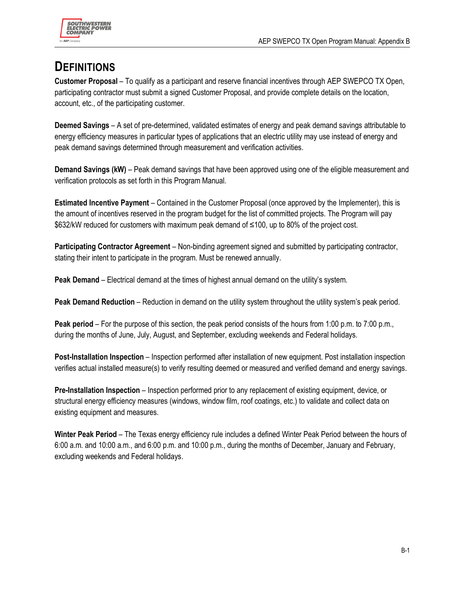

# **DEFINITIONS**

**Customer Proposal** – To qualify as a participant and reserve financial incentives through AEP SWEPCO TX Open, participating contractor must submit a signed Customer Proposal, and provide complete details on the location, account, etc., of the participating customer.

**Deemed Savings** – A set of pre-determined, validated estimates of energy and peak demand savings attributable to energy efficiency measures in particular types of applications that an electric utility may use instead of energy and peak demand savings determined through measurement and verification activities.

**Demand Savings (kW)** – Peak demand savings that have been approved using one of the eligible measurement and verification protocols as set forth in this Program Manual.

**Estimated Incentive Payment** – Contained in the Customer Proposal (once approved by the Implementer), this is the amount of incentives reserved in the program budget for the list of committed projects. The Program will pay \$632/kW reduced for customers with maximum peak demand of ≤100, up to 80% of the project cost.

**Participating Contractor Agreement** – Non-binding agreement signed and submitted by participating contractor, stating their intent to participate in the program. Must be renewed annually.

**Peak Demand** – Electrical demand at the times of highest annual demand on the utility's system.

**Peak Demand Reduction** – Reduction in demand on the utility system throughout the utility system's peak period.

**Peak period** – For the purpose of this section, the peak period consists of the hours from 1:00 p.m. to 7:00 p.m., during the months of June, July, August, and September, excluding weekends and Federal holidays.

**Post-Installation Inspection** – Inspection performed after installation of new equipment. Post installation inspection verifies actual installed measure(s) to verify resulting deemed or measured and verified demand and energy savings.

**Pre-Installation Inspection** – Inspection performed prior to any replacement of existing equipment, device, or structural energy efficiency measures (windows, window film, roof coatings, etc.) to validate and collect data on existing equipment and measures.

**Winter Peak Period** – The Texas energy efficiency rule includes a defined Winter Peak Period between the hours of 6:00 a.m. and 10:00 a.m., and 6:00 p.m. and 10:00 p.m., during the months of December, January and February, excluding weekends and Federal holidays.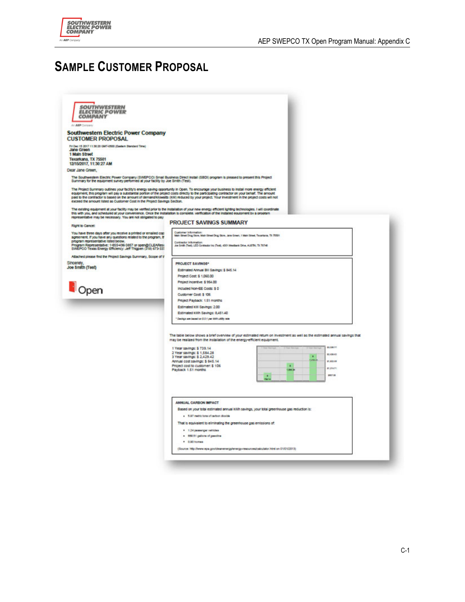

# **SAMPLE CUSTOMER PROPOSAL**

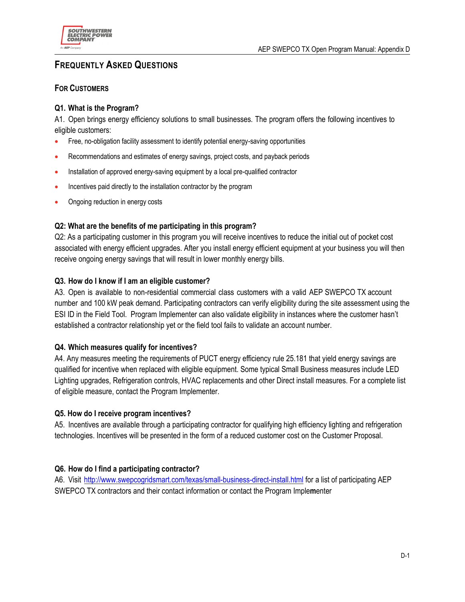

### **FREQUENTLY ASKED QUESTIONS**

#### **FOR CUSTOMERS**

#### **Q1. What is the Program?**

A1. Open brings energy efficiency solutions to small businesses. The program offers the following incentives to eligible customers:

- Free, no-obligation facility assessment to identify potential energy-saving opportunities
- Recommendations and estimates of energy savings, project costs, and payback periods
- Installation of approved energy-saving equipment by a local pre-qualified contractor
- Incentives paid directly to the installation contractor by the program
- Ongoing reduction in energy costs

#### **Q2: What are the benefits of me participating in this program?**

Q2: As a participating customer in this program you will receive incentives to reduce the initial out of pocket cost associated with energy efficient upgrades. After you install energy efficient equipment at your business you will then receive ongoing energy savings that will result in lower monthly energy bills.

#### **Q3. How do I know if I am an eligible customer?**

A3. Open is available to non-residential commercial class customers with a valid AEP SWEPCO TX account number and 100 kW peak demand. Participating contractors can verify eligibility during the site assessment using the ESI ID in the Field Tool. Program Implementer can also validate eligibility in instances where the customer hasn't established a contractor relationship yet or the field tool fails to validate an account number.

#### **Q4. Which measures qualify for incentives?**

A4. Any measures meeting the requirements of PUCT energy efficiency rule 25.181 that yield energy savings are qualified for incentive when replaced with eligible equipment. Some typical Small Business measures include LED Lighting upgrades, Refrigeration controls, HVAC replacements and other Direct install measures. For a complete list of eligible measure, contact the Program Implementer.

#### **Q5. How do I receive program incentives?**

A5. Incentives are available through a participating contractor for qualifying high efficiency lighting and refrigeration technologies. Incentives will be presented in the form of a reduced customer cost on the Customer Proposal.

#### **Q6. How do I find a participating contractor?**

A6. Visit http://www.swepcogridsmart.com/texas/small-business-direct-install.html for a list of participating AEP SWEPCO TX contractors and their contact information or contact the Program Imple**m**enter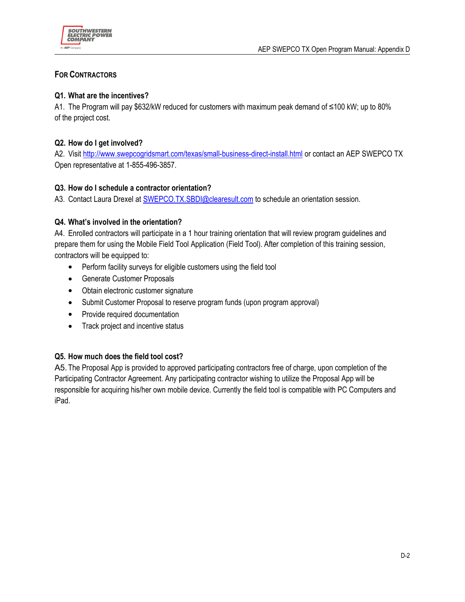

#### **FOR CONTRACTORS**

#### **Q1. What are the incentives?**

A1. The Program will pay \$632/kW reduced for customers with maximum peak demand of ≤100 kW; up to 80% of the project cost.

#### **Q2. How do I get involved?**

A2. Visit http://www.swepcogridsmart.com/texas/small-business-direct-install.html or contact an AEP SWEPCO TX Open representative at 1-855-496-3857.

#### **Q3. How do I schedule a contractor orientation?**

A3. Contact Laura Drexel at SWEPCO.TX.SBDI@clearesult.com to schedule an orientation session.

#### **Q4. What's involved in the orientation?**

A4. Enrolled contractors will participate in a 1 hour training orientation that will review program guidelines and prepare them for using the Mobile Field Tool Application (Field Tool). After completion of this training session, contractors will be equipped to:

- Perform facility surveys for eligible customers using the field tool
- Generate Customer Proposals
- Obtain electronic customer signature
- Submit Customer Proposal to reserve program funds (upon program approval)
- Provide required documentation
- Track project and incentive status

#### **Q5. How much does the field tool cost?**

A5. The Proposal App is provided to approved participating contractors free of charge, upon completion of the Participating Contractor Agreement. Any participating contractor wishing to utilize the Proposal App will be responsible for acquiring his/her own mobile device. Currently the field tool is compatible with PC Computers and iPad.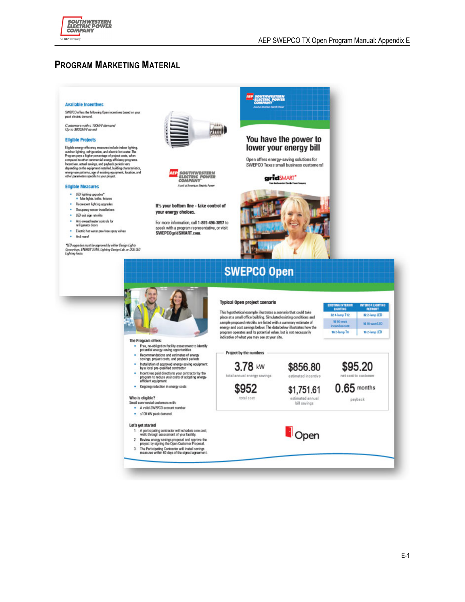

#### **PROGRAM MARKETING MATERIAL**

#### **Available Incentives**

SWEPCO offers the following Open incentives based on your<br>peak electric demand.

Customers with ≤ 100kW demand<br>Up to \$632kW seved

#### **Eligible Projects**

Eighbis energy efficiency measures include indoor lighting.<br>Capible energy efficiency measures include indoor lighting.<br>And<br>compare a sighter percentage of project cont, when expansed to other commercial energy efficiency

#### **Eligible Measures**

- $\cdot$  LED lighting upgrades\*<br>  $\circ$  Tabe lights, bulbs, fectures
- 
- Fluorescent lighting upgrades · Occupancy sensor installations
- . LED exit sign retrofits
- Anti-awast heater controls for<br>  $\it{refusion}$
- 
- · Electric hat water pre-rinse apray valves · And more!

\*LED upgrades must be approved by either Design Lights<br>Consortium, ENERGY STAR, Lighting Design Leb, or DOE LED<br>Lighting Facts.





It's your bottom line - take control of your energy oholoes.

For more information, call 1-855-496-3857 to speak with a program representative, or visit<br>SWEPCOgridSMART.com.